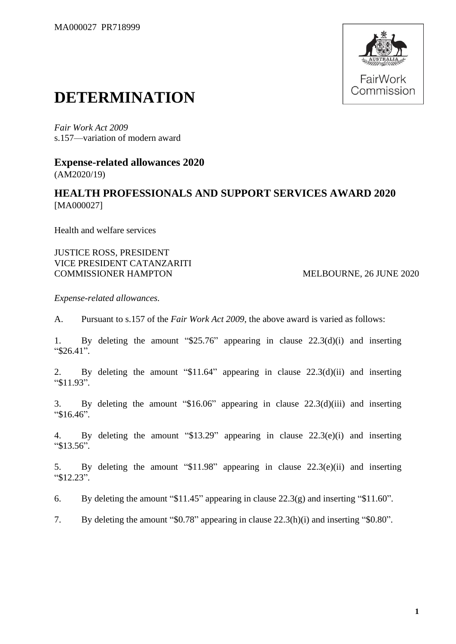

## **DETERMINATION**

*Fair Work Act 2009* s.157—variation of modern award

**Expense-related allowances 2020** (AM2020/19)

## **HEALTH PROFESSIONALS AND SUPPORT SERVICES AWARD 2020** [MA000027]

Health and welfare services

JUSTICE ROSS, PRESIDENT VICE PRESIDENT CATANZARITI COMMISSIONER HAMPTON MELBOURNE, 26 JUNE 2020

*Expense-related allowances.*

A. Pursuant to s.157 of the *Fair Work Act 2009*, the above award is varied as follows:

1. By deleting the amount "\$25.76" appearing in clause 22.3(d)(i) and inserting "\$26.41".

2. By deleting the amount "\$11.64" appearing in clause 22.3(d)(ii) and inserting "\$11.93".

3. By deleting the amount "\$16.06" appearing in clause 22.3(d)(iii) and inserting "\$16.46".

4. By deleting the amount "\$13.29" appearing in clause 22.3(e)(i) and inserting "\$13.56".

5. By deleting the amount "\$11.98" appearing in clause 22.3(e)(ii) and inserting "\$12.23".

6. By deleting the amount "\$11.45" appearing in clause 22.3(g) and inserting "\$11.60".

7. By deleting the amount "\$0.78" appearing in clause 22.3(h)(i) and inserting "\$0.80".